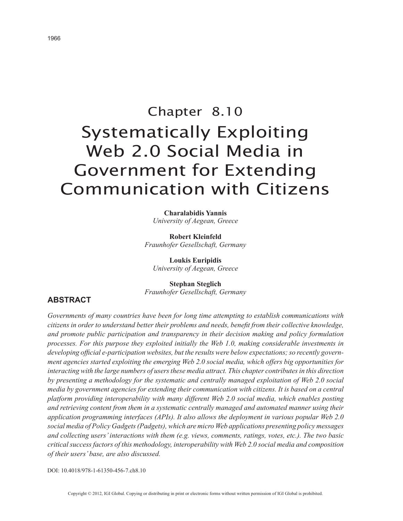# Chapter 8.10 Systematically Exploiting Web 2.0 Social Media in Government for Extending Communication with Citizens

**Charalabidis Yannis** *University of Aegean, Greece*

**Robert Kleinfeld** *Fraunhofer Gesellschaft, Germany*

**Loukis Euripidis** *University of Aegean, Greece*

**Stephan Steglich** *Fraunhofer Gesellschaft, Germany*

## **ABSTRACT**

*Governments of many countries have been for long time attempting to establish communications with citizens in order to understand better their problems and needs, benefit from their collective knowledge, and promote public participation and transparency in their decision making and policy formulation processes. For this purpose they exploited initially the Web 1.0, making considerable investments in developing official e-participation websites, but the results were below expectations; so recently government agencies started exploiting the emerging Web 2.0 social media, which offers big opportunities for interacting with the large numbers of users these media attract. This chapter contributes in this direction by presenting a methodology for the systematic and centrally managed exploitation of Web 2.0 social media by government agencies for extending their communication with citizens. It is based on a central platform providing interoperability with many different Web 2.0 social media, which enables posting and retrieving content from them in a systematic centrally managed and automated manner using their application programming interfaces (APIs). It also allows the deployment in various popular Web 2.0 social media of Policy Gadgets (Padgets), which are micro Web applications presenting policy messages and collecting users' interactions with them (e.g. views, comments, ratings, votes, etc.). The two basic critical success factors of this methodology, interoperability with Web 2.0 social media and composition of their users' base, are also discussed.*

DOI: 10.4018/978-1-61350-456-7.ch8.10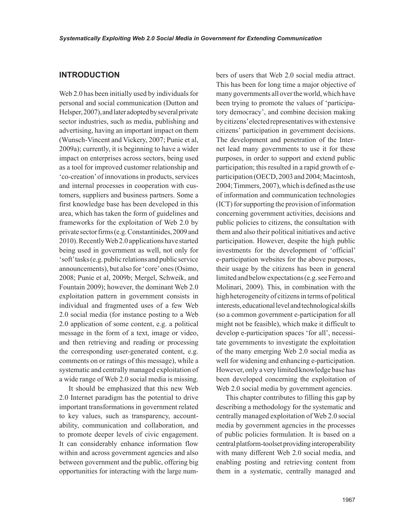### **INTRODUCTION**

Web 2.0 has been initially used by individuals for personal and social communication (Dutton and Helsper, 2007), and later adopted by several private sector industries, such as media, publishing and advertising, having an important impact on them (Wunsch-Vincent and Vickery, 2007; Punie et al, 2009a); currently, it is beginning to have a wider impact on enterprises across sectors, being used as a tool for improved customer relationship and 'co-creation' of innovations in products, services and internal processes in cooperation with customers, suppliers and business partners. Some a first knowledge base has been developed in this area, which has taken the form of guidelines and frameworks for the exploitation of Web 2.0 by private sector firms (e.g. Constantinides, 2009 and 2010). Recently Web 2.0 applications have started being used in government as well, not only for 'soft' tasks (e.g. public relations and public service announcements), but also for 'core' ones (Osimo, 2008; Punie et al, 2009b; Mergel, Schweik, and Fountain 2009); however, the dominant Web 2.0 exploitation pattern in government consists in individual and fragmented uses of a few Web 2.0 social media (for instance posting to a Web 2.0 application of some content, e.g. a political message in the form of a text, image or video, and then retrieving and reading or processing the corresponding user-generated content, e.g. comments on or ratings of this message), while a systematic and centrally managed exploitation of a wide range of Web 2.0 social media is missing.

It should be emphasized that this new Web 2.0 Internet paradigm has the potential to drive important transformations in government related to key values, such as transparency, accountability, communication and collaboration, and to promote deeper levels of civic engagement. It can considerably enhance information flow within and across government agencies and also between government and the public, offering big opportunities for interacting with the large numbers of users that Web 2.0 social media attract. This has been for long time a major objective of many governments all over the world, which have been trying to promote the values of 'participatory democracy', and combine decision making by citizens' elected representatives with extensive citizens' participation in government decisions. The development and penetration of the Internet lead many governments to use it for these purposes, in order to support and extend public participation; this resulted in a rapid growth of eparticipation (OECD, 2003 and 2004; Macintosh, 2004; Timmers, 2007), which is defined as the use of information and communication technologies (ICT) for supporting the provision of information concerning government activities, decisions and public policies to citizens, the consultation with them and also their political initiatives and active participation. However, despite the high public investments for the development of 'official' e-participation websites for the above purposes, their usage by the citizens has been in general limited and below expectations (e.g. see Ferro and Molinari, 2009). This, in combination with the high heterogeneity of citizens in terms of political interests, educational level and technological skills (so a common government e-participation for all might not be feasible), which make it difficult to develop e-participation spaces 'for all', necessitate governments to investigate the exploitation of the many emerging Web 2.0 social media as well for widening and enhancing e-participation. However, only a very limited knowledge base has been developed concerning the exploitation of Web 2.0 social media by government agencies.

This chapter contributes to filling this gap by describing a methodology for the systematic and centrally managed exploitation of Web 2.0 social media by government agencies in the processes of public policies formulation. It is based on a central platform-toolset providing interoperability with many different Web 2.0 social media, and enabling posting and retrieving content from them in a systematic, centrally managed and